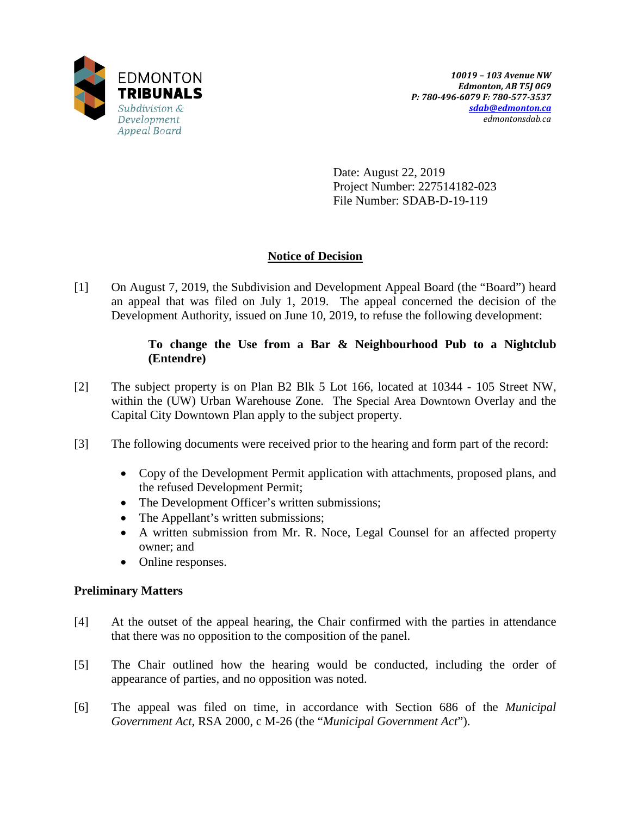

Date: August 22, 2019 Project Number: 227514182-023 File Number: SDAB-D-19-119

# **Notice of Decision**

[1] On August 7, 2019, the Subdivision and Development Appeal Board (the "Board") heard an appeal that was filed on July 1, 2019. The appeal concerned the decision of the Development Authority, issued on June 10, 2019, to refuse the following development:

# **To change the Use from a Bar & Neighbourhood Pub to a Nightclub (Entendre)**

- [2] The subject property is on Plan B2 Blk 5 Lot 166, located at 10344 105 Street NW, within the (UW) Urban Warehouse Zone. The Special Area Downtown Overlay and the Capital City Downtown Plan apply to the subject property.
- [3] The following documents were received prior to the hearing and form part of the record:
	- Copy of the Development Permit application with attachments, proposed plans, and the refused Development Permit;
	- The Development Officer's written submissions;
	- The Appellant's written submissions;
	- A written submission from Mr. R. Noce, Legal Counsel for an affected property owner; and
	- Online responses.

# **Preliminary Matters**

- [4] At the outset of the appeal hearing, the Chair confirmed with the parties in attendance that there was no opposition to the composition of the panel.
- [5] The Chair outlined how the hearing would be conducted, including the order of appearance of parties, and no opposition was noted.
- [6] The appeal was filed on time, in accordance with Section 686 of the *Municipal Government Act*, RSA 2000, c M-26 (the "*Municipal Government Act*").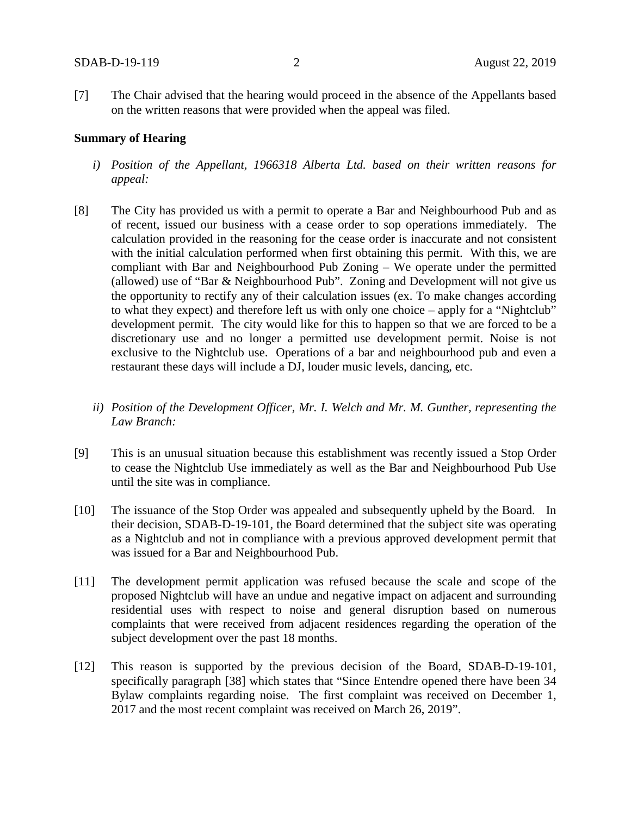[7] The Chair advised that the hearing would proceed in the absence of the Appellants based on the written reasons that were provided when the appeal was filed.

#### **Summary of Hearing**

- *i) Position of the Appellant, 1966318 Alberta Ltd. based on their written reasons for appeal:*
- [8] The City has provided us with a permit to operate a Bar and Neighbourhood Pub and as of recent, issued our business with a cease order to sop operations immediately. The calculation provided in the reasoning for the cease order is inaccurate and not consistent with the initial calculation performed when first obtaining this permit. With this, we are compliant with Bar and Neighbourhood Pub Zoning – We operate under the permitted (allowed) use of "Bar & Neighbourhood Pub". Zoning and Development will not give us the opportunity to rectify any of their calculation issues (ex. To make changes according to what they expect) and therefore left us with only one choice – apply for a "Nightclub" development permit. The city would like for this to happen so that we are forced to be a discretionary use and no longer a permitted use development permit. Noise is not exclusive to the Nightclub use. Operations of a bar and neighbourhood pub and even a restaurant these days will include a DJ, louder music levels, dancing, etc.
	- *ii) Position of the Development Officer, Mr. I. Welch and Mr. M. Gunther, representing the Law Branch:*
- [9] This is an unusual situation because this establishment was recently issued a Stop Order to cease the Nightclub Use immediately as well as the Bar and Neighbourhood Pub Use until the site was in compliance.
- [10] The issuance of the Stop Order was appealed and subsequently upheld by the Board. In their decision, SDAB-D-19-101, the Board determined that the subject site was operating as a Nightclub and not in compliance with a previous approved development permit that was issued for a Bar and Neighbourhood Pub.
- [11] The development permit application was refused because the scale and scope of the proposed Nightclub will have an undue and negative impact on adjacent and surrounding residential uses with respect to noise and general disruption based on numerous complaints that were received from adjacent residences regarding the operation of the subject development over the past 18 months.
- [12] This reason is supported by the previous decision of the Board, SDAB-D-19-101, specifically paragraph [38] which states that "Since Entendre opened there have been 34 Bylaw complaints regarding noise. The first complaint was received on December 1, 2017 and the most recent complaint was received on March 26, 2019".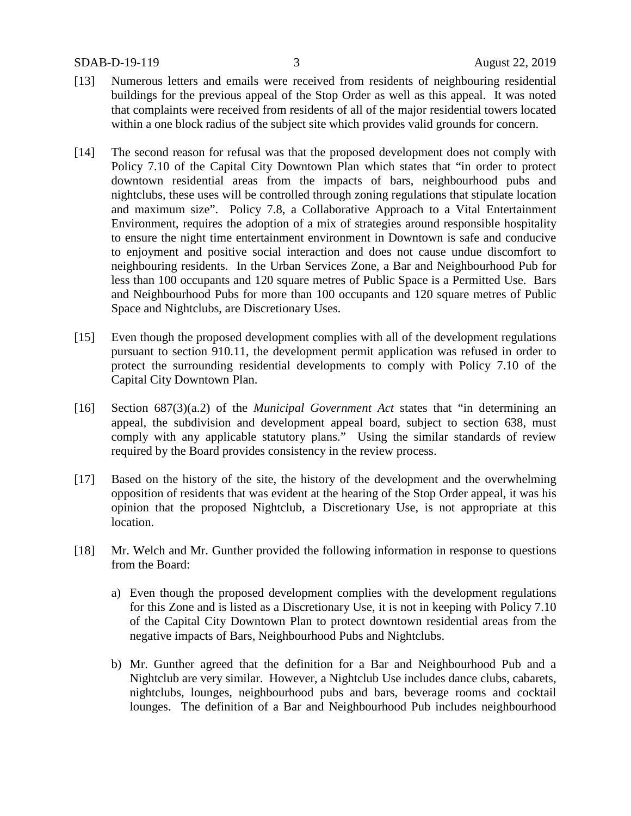- [13] Numerous letters and emails were received from residents of neighbouring residential buildings for the previous appeal of the Stop Order as well as this appeal. It was noted that complaints were received from residents of all of the major residential towers located within a one block radius of the subject site which provides valid grounds for concern.
- [14] The second reason for refusal was that the proposed development does not comply with Policy 7.10 of the Capital City Downtown Plan which states that "in order to protect downtown residential areas from the impacts of bars, neighbourhood pubs and nightclubs, these uses will be controlled through zoning regulations that stipulate location and maximum size". Policy 7.8, a Collaborative Approach to a Vital Entertainment Environment, requires the adoption of a mix of strategies around responsible hospitality to ensure the night time entertainment environment in Downtown is safe and conducive to enjoyment and positive social interaction and does not cause undue discomfort to neighbouring residents. In the Urban Services Zone, a Bar and Neighbourhood Pub for less than 100 occupants and 120 square metres of Public Space is a Permitted Use. Bars and Neighbourhood Pubs for more than 100 occupants and 120 square metres of Public Space and Nightclubs, are Discretionary Uses.
- [15] Even though the proposed development complies with all of the development regulations pursuant to section 910.11, the development permit application was refused in order to protect the surrounding residential developments to comply with Policy 7.10 of the Capital City Downtown Plan.
- [16] Section 687(3)(a.2) of the *Municipal Government Act* states that "in determining an appeal, the subdivision and development appeal board, subject to section 638, must comply with any applicable statutory plans." Using the similar standards of review required by the Board provides consistency in the review process.
- [17] Based on the history of the site, the history of the development and the overwhelming opposition of residents that was evident at the hearing of the Stop Order appeal, it was his opinion that the proposed Nightclub, a Discretionary Use, is not appropriate at this location.
- [18] Mr. Welch and Mr. Gunther provided the following information in response to questions from the Board:
	- a) Even though the proposed development complies with the development regulations for this Zone and is listed as a Discretionary Use, it is not in keeping with Policy 7.10 of the Capital City Downtown Plan to protect downtown residential areas from the negative impacts of Bars, Neighbourhood Pubs and Nightclubs.
	- b) Mr. Gunther agreed that the definition for a Bar and Neighbourhood Pub and a Nightclub are very similar. However, a Nightclub Use includes dance clubs, cabarets, nightclubs, lounges, neighbourhood pubs and bars, beverage rooms and cocktail lounges. The definition of a Bar and Neighbourhood Pub includes neighbourhood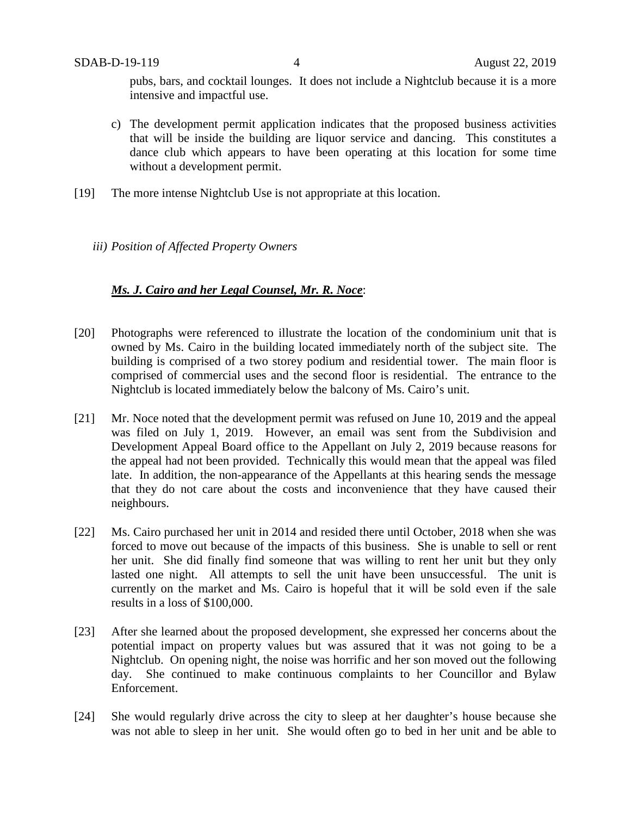pubs, bars, and cocktail lounges. It does not include a Nightclub because it is a more intensive and impactful use.

- c) The development permit application indicates that the proposed business activities that will be inside the building are liquor service and dancing. This constitutes a dance club which appears to have been operating at this location for some time without a development permit.
- [19] The more intense Nightclub Use is not appropriate at this location.
	- *iii) Position of Affected Property Owners*

## *Ms. J. Cairo and her Legal Counsel, Mr. R. Noce*:

- [20] Photographs were referenced to illustrate the location of the condominium unit that is owned by Ms. Cairo in the building located immediately north of the subject site. The building is comprised of a two storey podium and residential tower. The main floor is comprised of commercial uses and the second floor is residential. The entrance to the Nightclub is located immediately below the balcony of Ms. Cairo's unit.
- [21] Mr. Noce noted that the development permit was refused on June 10, 2019 and the appeal was filed on July 1, 2019. However, an email was sent from the Subdivision and Development Appeal Board office to the Appellant on July 2, 2019 because reasons for the appeal had not been provided. Technically this would mean that the appeal was filed late. In addition, the non-appearance of the Appellants at this hearing sends the message that they do not care about the costs and inconvenience that they have caused their neighbours.
- [22] Ms. Cairo purchased her unit in 2014 and resided there until October, 2018 when she was forced to move out because of the impacts of this business. She is unable to sell or rent her unit. She did finally find someone that was willing to rent her unit but they only lasted one night. All attempts to sell the unit have been unsuccessful. The unit is currently on the market and Ms. Cairo is hopeful that it will be sold even if the sale results in a loss of \$100,000.
- [23] After she learned about the proposed development, she expressed her concerns about the potential impact on property values but was assured that it was not going to be a Nightclub. On opening night, the noise was horrific and her son moved out the following day. She continued to make continuous complaints to her Councillor and Bylaw Enforcement.
- [24] She would regularly drive across the city to sleep at her daughter's house because she was not able to sleep in her unit. She would often go to bed in her unit and be able to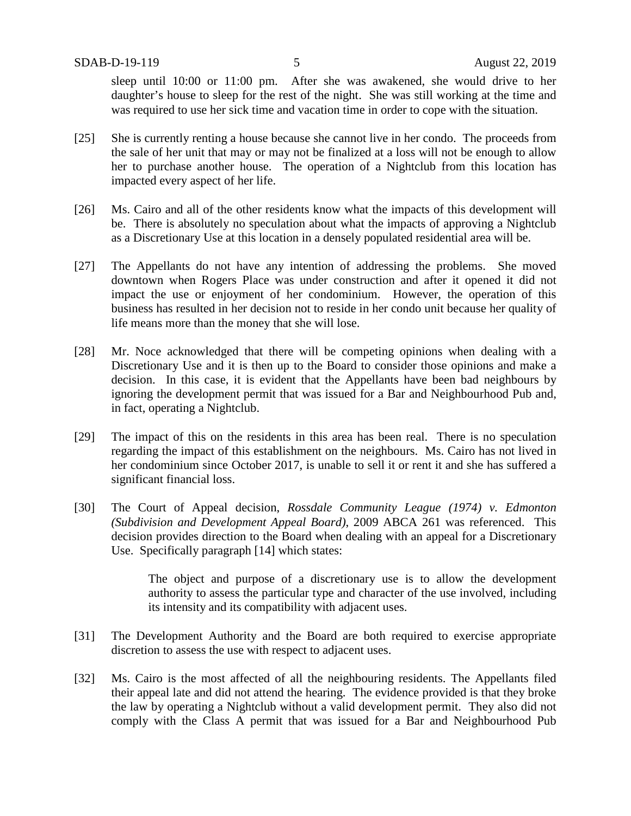sleep until 10:00 or 11:00 pm. After she was awakened, she would drive to her daughter's house to sleep for the rest of the night. She was still working at the time and was required to use her sick time and vacation time in order to cope with the situation.

- [25] She is currently renting a house because she cannot live in her condo. The proceeds from the sale of her unit that may or may not be finalized at a loss will not be enough to allow her to purchase another house. The operation of a Nightclub from this location has impacted every aspect of her life.
- [26] Ms. Cairo and all of the other residents know what the impacts of this development will be. There is absolutely no speculation about what the impacts of approving a Nightclub as a Discretionary Use at this location in a densely populated residential area will be.
- [27] The Appellants do not have any intention of addressing the problems. She moved downtown when Rogers Place was under construction and after it opened it did not impact the use or enjoyment of her condominium. However, the operation of this business has resulted in her decision not to reside in her condo unit because her quality of life means more than the money that she will lose.
- [28] Mr. Noce acknowledged that there will be competing opinions when dealing with a Discretionary Use and it is then up to the Board to consider those opinions and make a decision. In this case, it is evident that the Appellants have been bad neighbours by ignoring the development permit that was issued for a Bar and Neighbourhood Pub and, in fact, operating a Nightclub.
- [29] The impact of this on the residents in this area has been real. There is no speculation regarding the impact of this establishment on the neighbours. Ms. Cairo has not lived in her condominium since October 2017, is unable to sell it or rent it and she has suffered a significant financial loss.
- [30] The Court of Appeal decision, *Rossdale Community League (1974) v. Edmonton (Subdivision and Development Appeal Board)*, 2009 ABCA 261 was referenced. This decision provides direction to the Board when dealing with an appeal for a Discretionary Use. Specifically paragraph [14] which states:

The object and purpose of a discretionary use is to allow the development authority to assess the particular type and character of the use involved, including its intensity and its compatibility with adjacent uses.

- [31] The Development Authority and the Board are both required to exercise appropriate discretion to assess the use with respect to adjacent uses.
- [32] Ms. Cairo is the most affected of all the neighbouring residents. The Appellants filed their appeal late and did not attend the hearing. The evidence provided is that they broke the law by operating a Nightclub without a valid development permit. They also did not comply with the Class A permit that was issued for a Bar and Neighbourhood Pub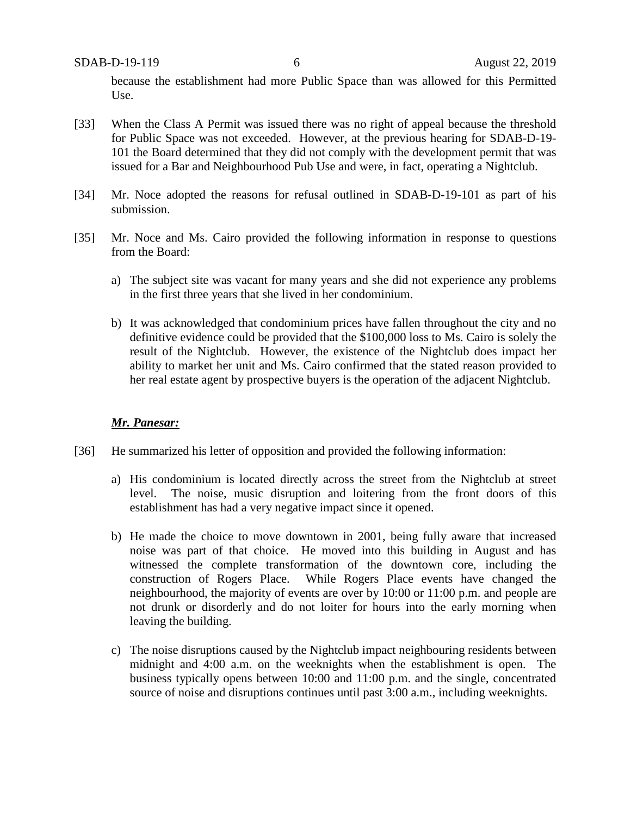because the establishment had more Public Space than was allowed for this Permitted Use.

- [33] When the Class A Permit was issued there was no right of appeal because the threshold for Public Space was not exceeded. However, at the previous hearing for SDAB-D-19- 101 the Board determined that they did not comply with the development permit that was issued for a Bar and Neighbourhood Pub Use and were, in fact, operating a Nightclub.
- [34] Mr. Noce adopted the reasons for refusal outlined in SDAB-D-19-101 as part of his submission.
- [35] Mr. Noce and Ms. Cairo provided the following information in response to questions from the Board:
	- a) The subject site was vacant for many years and she did not experience any problems in the first three years that she lived in her condominium.
	- b) It was acknowledged that condominium prices have fallen throughout the city and no definitive evidence could be provided that the \$100,000 loss to Ms. Cairo is solely the result of the Nightclub. However, the existence of the Nightclub does impact her ability to market her unit and Ms. Cairo confirmed that the stated reason provided to her real estate agent by prospective buyers is the operation of the adjacent Nightclub.

## *Mr. Panesar:*

- [36] He summarized his letter of opposition and provided the following information:
	- a) His condominium is located directly across the street from the Nightclub at street level. The noise, music disruption and loitering from the front doors of this establishment has had a very negative impact since it opened.
	- b) He made the choice to move downtown in 2001, being fully aware that increased noise was part of that choice. He moved into this building in August and has witnessed the complete transformation of the downtown core, including the construction of Rogers Place. While Rogers Place events have changed the neighbourhood, the majority of events are over by 10:00 or 11:00 p.m. and people are not drunk or disorderly and do not loiter for hours into the early morning when leaving the building.
	- c) The noise disruptions caused by the Nightclub impact neighbouring residents between midnight and 4:00 a.m. on the weeknights when the establishment is open. The business typically opens between 10:00 and 11:00 p.m. and the single, concentrated source of noise and disruptions continues until past 3:00 a.m., including weeknights.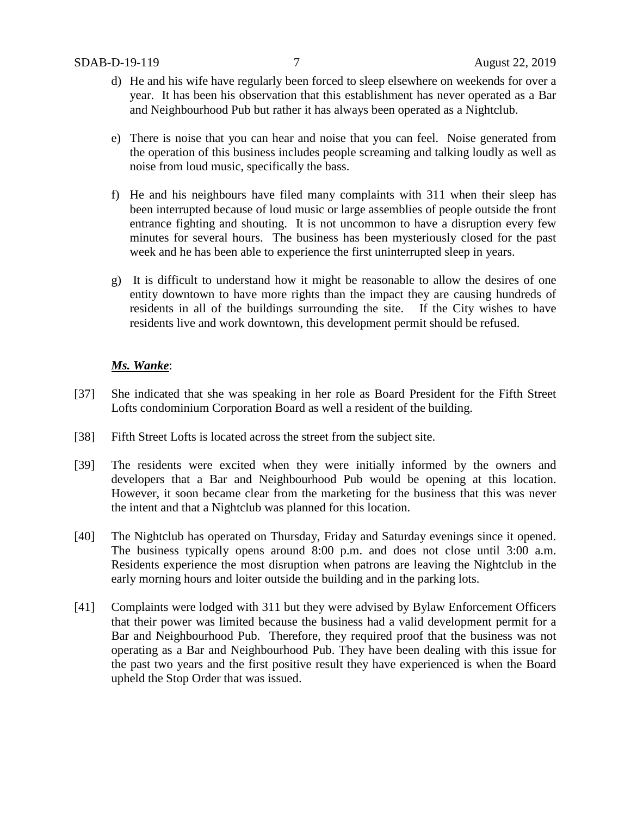- d) He and his wife have regularly been forced to sleep elsewhere on weekends for over a year. It has been his observation that this establishment has never operated as a Bar and Neighbourhood Pub but rather it has always been operated as a Nightclub.
- e) There is noise that you can hear and noise that you can feel. Noise generated from the operation of this business includes people screaming and talking loudly as well as noise from loud music, specifically the bass.
- f) He and his neighbours have filed many complaints with 311 when their sleep has been interrupted because of loud music or large assemblies of people outside the front entrance fighting and shouting. It is not uncommon to have a disruption every few minutes for several hours. The business has been mysteriously closed for the past week and he has been able to experience the first uninterrupted sleep in years.
- g) It is difficult to understand how it might be reasonable to allow the desires of one entity downtown to have more rights than the impact they are causing hundreds of residents in all of the buildings surrounding the site. If the City wishes to have residents live and work downtown, this development permit should be refused.

## *Ms. Wanke*:

- [37] She indicated that she was speaking in her role as Board President for the Fifth Street Lofts condominium Corporation Board as well a resident of the building.
- [38] Fifth Street Lofts is located across the street from the subject site.
- [39] The residents were excited when they were initially informed by the owners and developers that a Bar and Neighbourhood Pub would be opening at this location. However, it soon became clear from the marketing for the business that this was never the intent and that a Nightclub was planned for this location.
- [40] The Nightclub has operated on Thursday, Friday and Saturday evenings since it opened. The business typically opens around 8:00 p.m. and does not close until 3:00 a.m. Residents experience the most disruption when patrons are leaving the Nightclub in the early morning hours and loiter outside the building and in the parking lots.
- [41] Complaints were lodged with 311 but they were advised by Bylaw Enforcement Officers that their power was limited because the business had a valid development permit for a Bar and Neighbourhood Pub. Therefore, they required proof that the business was not operating as a Bar and Neighbourhood Pub. They have been dealing with this issue for the past two years and the first positive result they have experienced is when the Board upheld the Stop Order that was issued.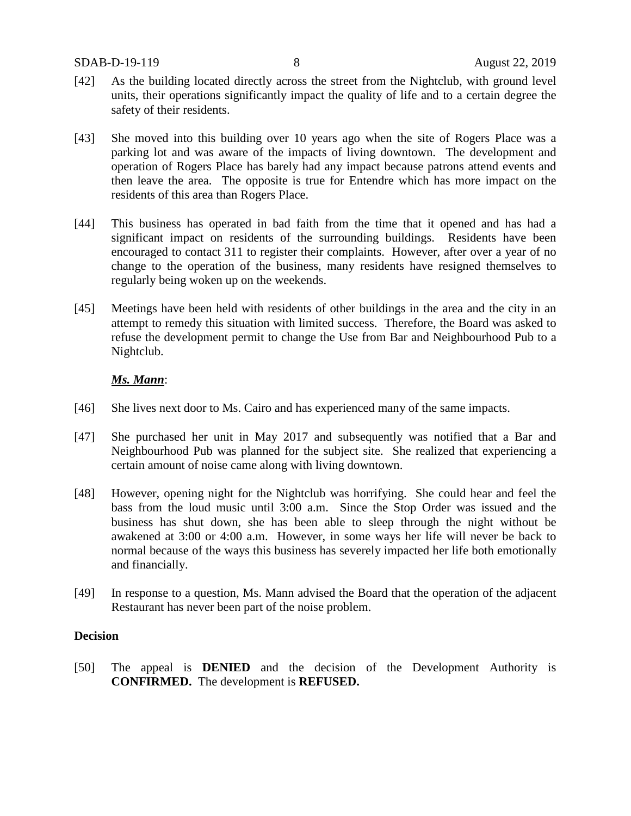- [42] As the building located directly across the street from the Nightclub, with ground level units, their operations significantly impact the quality of life and to a certain degree the safety of their residents.
- [43] She moved into this building over 10 years ago when the site of Rogers Place was a parking lot and was aware of the impacts of living downtown. The development and operation of Rogers Place has barely had any impact because patrons attend events and then leave the area. The opposite is true for Entendre which has more impact on the residents of this area than Rogers Place.
- [44] This business has operated in bad faith from the time that it opened and has had a significant impact on residents of the surrounding buildings. Residents have been encouraged to contact 311 to register their complaints. However, after over a year of no change to the operation of the business, many residents have resigned themselves to regularly being woken up on the weekends.
- [45] Meetings have been held with residents of other buildings in the area and the city in an attempt to remedy this situation with limited success. Therefore, the Board was asked to refuse the development permit to change the Use from Bar and Neighbourhood Pub to a Nightclub.

### *Ms. Mann*:

- [46] She lives next door to Ms. Cairo and has experienced many of the same impacts.
- [47] She purchased her unit in May 2017 and subsequently was notified that a Bar and Neighbourhood Pub was planned for the subject site. She realized that experiencing a certain amount of noise came along with living downtown.
- [48] However, opening night for the Nightclub was horrifying. She could hear and feel the bass from the loud music until 3:00 a.m. Since the Stop Order was issued and the business has shut down, she has been able to sleep through the night without be awakened at 3:00 or 4:00 a.m. However, in some ways her life will never be back to normal because of the ways this business has severely impacted her life both emotionally and financially.
- [49] In response to a question, Ms. Mann advised the Board that the operation of the adjacent Restaurant has never been part of the noise problem.

### **Decision**

[50] The appeal is **DENIED** and the decision of the Development Authority is **CONFIRMED.** The development is **REFUSED.**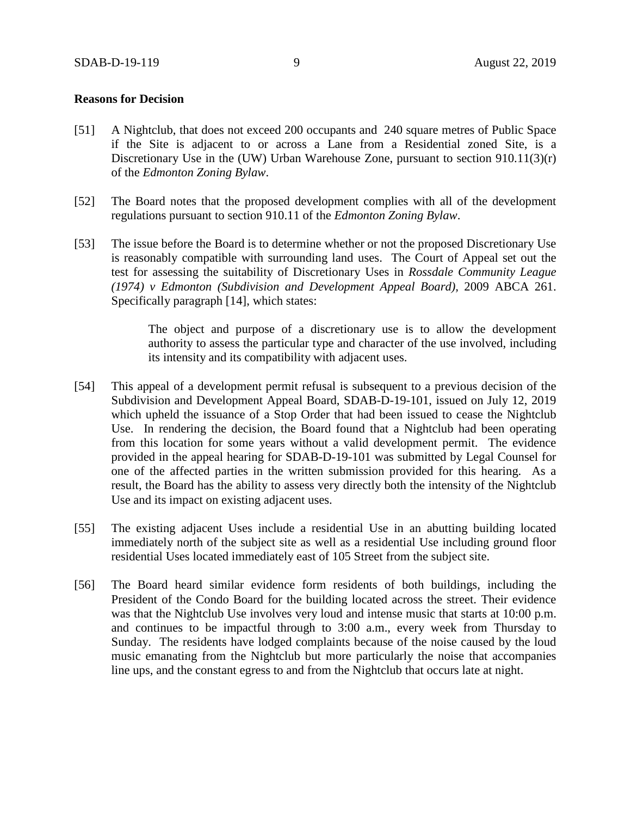#### **Reasons for Decision**

- [51] A Nightclub, that does not exceed 200 occupants and 240 square metres of Public Space if the Site is adjacent to or across a Lane from a Residential zoned Site, is a Discretionary Use in the (UW) Urban Warehouse Zone, pursuant to section 910.11(3)(r) of the *Edmonton Zoning Bylaw*.
- [52] The Board notes that the proposed development complies with all of the development regulations pursuant to section 910.11 of the *Edmonton Zoning Bylaw*.
- [53] The issue before the Board is to determine whether or not the proposed Discretionary Use is reasonably compatible with surrounding land uses. The Court of Appeal set out the test for assessing the suitability of Discretionary Uses in *Rossdale Community League (1974) v Edmonton (Subdivision and Development Appeal Board),* 2009 ABCA 261. Specifically paragraph [14], which states:

The object and purpose of a discretionary use is to allow the development authority to assess the particular type and character of the use involved, including its intensity and its compatibility with adjacent uses.

- [54] This appeal of a development permit refusal is subsequent to a previous decision of the Subdivision and Development Appeal Board, SDAB-D-19-101, issued on July 12, 2019 which upheld the issuance of a Stop Order that had been issued to cease the Nightclub Use. In rendering the decision, the Board found that a Nightclub had been operating from this location for some years without a valid development permit. The evidence provided in the appeal hearing for SDAB-D-19-101 was submitted by Legal Counsel for one of the affected parties in the written submission provided for this hearing. As a result, the Board has the ability to assess very directly both the intensity of the Nightclub Use and its impact on existing adjacent uses.
- [55] The existing adjacent Uses include a residential Use in an abutting building located immediately north of the subject site as well as a residential Use including ground floor residential Uses located immediately east of 105 Street from the subject site.
- [56] The Board heard similar evidence form residents of both buildings, including the President of the Condo Board for the building located across the street. Their evidence was that the Nightclub Use involves very loud and intense music that starts at 10:00 p.m. and continues to be impactful through to 3:00 a.m., every week from Thursday to Sunday. The residents have lodged complaints because of the noise caused by the loud music emanating from the Nightclub but more particularly the noise that accompanies line ups, and the constant egress to and from the Nightclub that occurs late at night.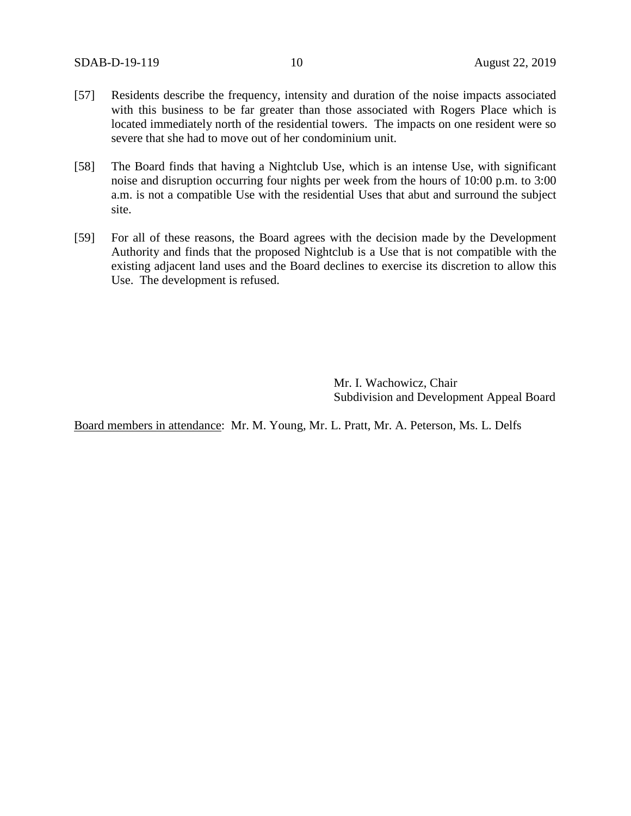- [57] Residents describe the frequency, intensity and duration of the noise impacts associated with this business to be far greater than those associated with Rogers Place which is located immediately north of the residential towers. The impacts on one resident were so severe that she had to move out of her condominium unit.
- [58] The Board finds that having a Nightclub Use, which is an intense Use, with significant noise and disruption occurring four nights per week from the hours of 10:00 p.m. to 3:00 a.m. is not a compatible Use with the residential Uses that abut and surround the subject site.
- [59] For all of these reasons, the Board agrees with the decision made by the Development Authority and finds that the proposed Nightclub is a Use that is not compatible with the existing adjacent land uses and the Board declines to exercise its discretion to allow this Use. The development is refused.

Mr. I. Wachowicz, Chair Subdivision and Development Appeal Board

Board members in attendance: Mr. M. Young, Mr. L. Pratt, Mr. A. Peterson, Ms. L. Delfs